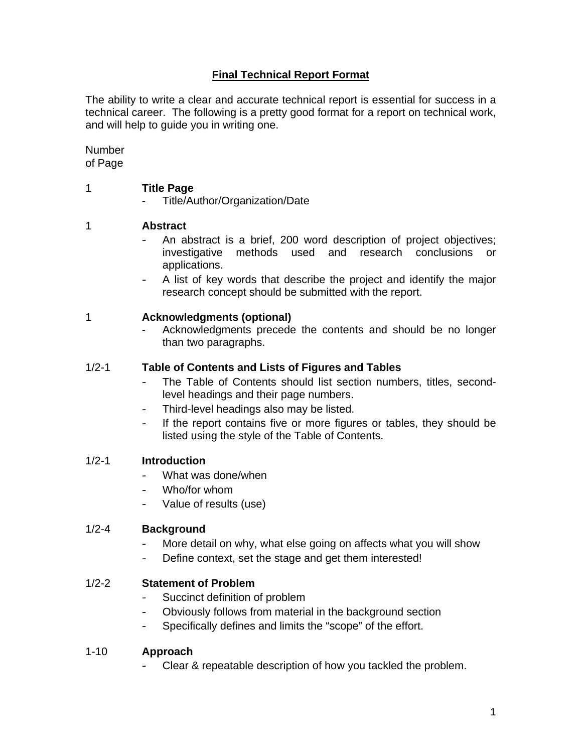# **Final Technical Report Format**

The ability to write a clear and accurate technical report is essential for success in a technical career. The following is a pretty good format for a report on technical work, and will help to guide you in writing one.

Number of Page

## 1 **Title Page**

- Title/Author/Organization/Date

# 1 **Abstract**

- An abstract is a brief, 200 word description of project objectives; investigative methods used and research conclusions or applications.
- A list of key words that describe the project and identify the major research concept should be submitted with the report.

## 1 **Acknowledgments (optional)**

Acknowledgments precede the contents and should be no longer than two paragraphs.

## 1/2-1 **Table of Contents and Lists of Figures and Tables**

- The Table of Contents should list section numbers, titles, secondlevel headings and their page numbers.
- Third-level headings also may be listed.
- If the report contains five or more figures or tables, they should be listed using the style of the Table of Contents.

### 1/2-1 **Introduction**

- What was done/when
- Who/for whom
- Value of results (use)

### 1/2-4 **Background**

- More detail on why, what else going on affects what you will show
- Define context, set the stage and get them interested!

### 1/2-2 **Statement of Problem**

- Succinct definition of problem
- Obviously follows from material in the background section
- Specifically defines and limits the "scope" of the effort.

### 1-10 **Approach**

Clear & repeatable description of how you tackled the problem.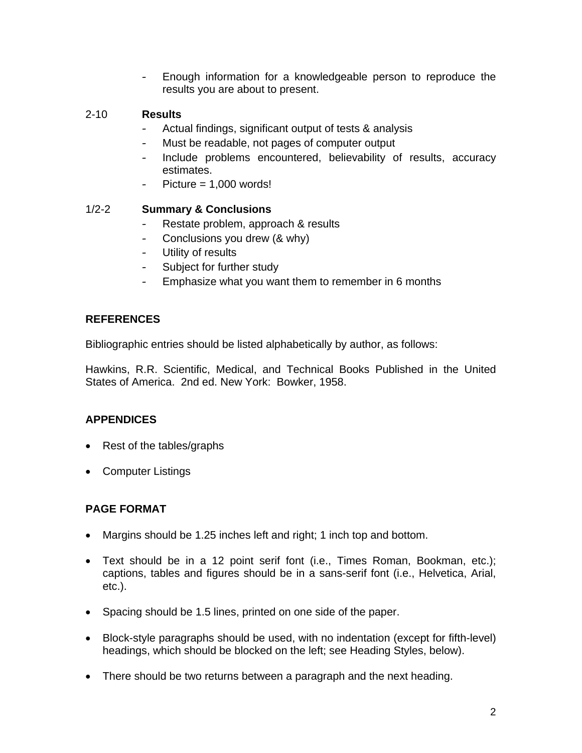- Enough information for a knowledgeable person to reproduce the results you are about to present.

# 2-10 **Results**

- Actual findings, significant output of tests & analysis
- Must be readable, not pages of computer output
- Include problems encountered, believability of results, accuracy estimates.
- $Picture = 1,000 words!$

# 1/2-2 **Summary & Conclusions**

- Restate problem, approach & results
- Conclusions you drew (& why)
- Utility of results
- Subject for further study
- Emphasize what you want them to remember in 6 months

# **REFERENCES**

Bibliographic entries should be listed alphabetically by author, as follows:

Hawkins, R.R. Scientific, Medical, and Technical Books Published in the United States of America. 2nd ed. New York: Bowker, 1958.

# **APPENDICES**

- Rest of the tables/graphs
- Computer Listings

# **PAGE FORMAT**

- Margins should be 1.25 inches left and right; 1 inch top and bottom.
- Text should be in a 12 point serif font (i.e., Times Roman, Bookman, etc.); captions, tables and figures should be in a sans-serif font (i.e., Helvetica, Arial, etc.).
- Spacing should be 1.5 lines, printed on one side of the paper.
- Block-style paragraphs should be used, with no indentation (except for fifth-level) headings, which should be blocked on the left; see Heading Styles, below).
- There should be two returns between a paragraph and the next heading.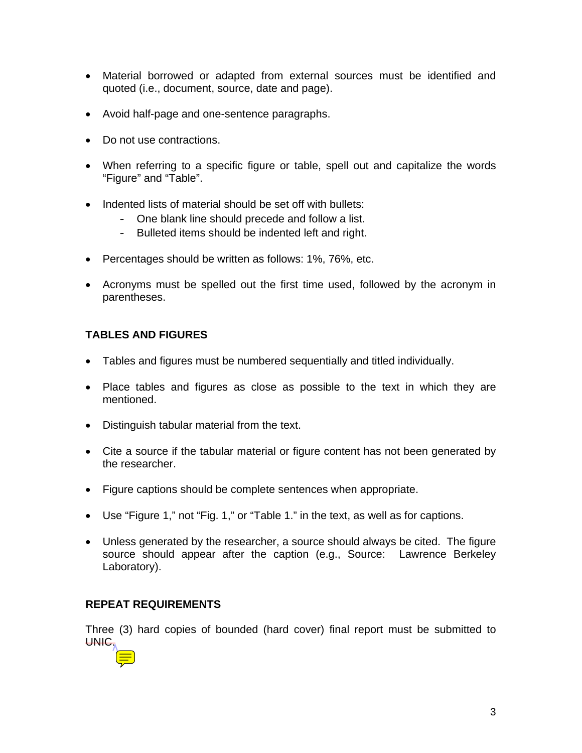- Material borrowed or adapted from external sources must be identified and quoted (i.e., document, source, date and page).
- Avoid half-page and one-sentence paragraphs.
- Do not use contractions.
- When referring to a specific figure or table, spell out and capitalize the words "Figure" and "Table".
- Indented lists of material should be set off with bullets:
	- One blank line should precede and follow a list.
	- Bulleted items should be indented left and right.
- Percentages should be written as follows: 1%, 76%, etc.
- Acronyms must be spelled out the first time used, followed by the acronym in parentheses.

# **TABLES AND FIGURES**

- Tables and figures must be numbered sequentially and titled individually.
- Place tables and figures as close as possible to the text in which they are mentioned.
- Distinguish tabular material from the text.
- Cite a source if the tabular material or figure content has not been generated by the researcher.
- Figure captions should be complete sentences when appropriate.
- Use "Figure 1," not "Fig. 1," or "Table 1." in the text, as well as for captions.
- Unless generated by the researcher, a source should always be cited. The figure source should appear after the caption (e.g., Source: Lawrence Berkeley Laboratory).

# **REPEAT REQUIREMENTS**

Three (3) hard copies of bounded (hard cover) final report must be submitted to UNIC.

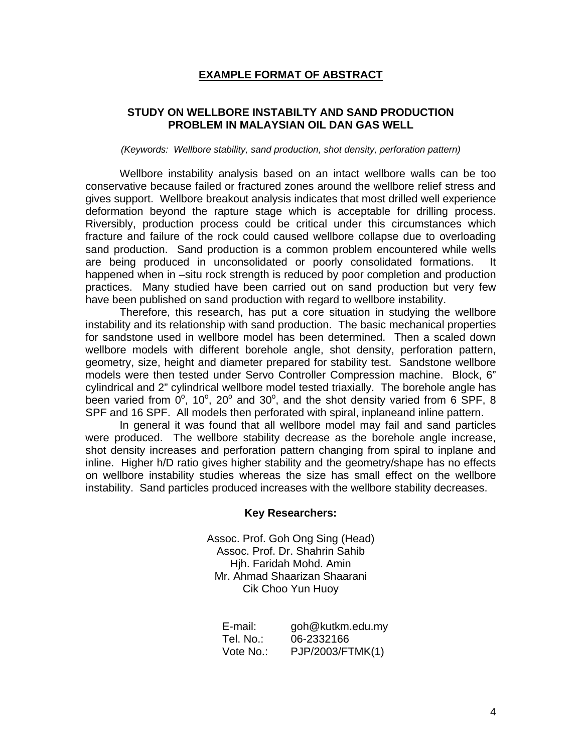## **EXAMPLE FORMAT OF ABSTRACT**

## **STUDY ON WELLBORE INSTABILTY AND SAND PRODUCTION PROBLEM IN MALAYSIAN OIL DAN GAS WELL**

#### *(Keywords: Wellbore stability, sand production, shot density, perforation pattern)*

 Wellbore instability analysis based on an intact wellbore walls can be too conservative because failed or fractured zones around the wellbore relief stress and gives support. Wellbore breakout analysis indicates that most drilled well experience deformation beyond the rapture stage which is acceptable for drilling process. Riversibly, production process could be critical under this circumstances which fracture and failure of the rock could caused wellbore collapse due to overloading sand production. Sand production is a common problem encountered while wells are being produced in unconsolidated or poorly consolidated formations. It happened when in –situ rock strength is reduced by poor completion and production practices. Many studied have been carried out on sand production but very few have been published on sand production with regard to wellbore instability.

 Therefore, this research, has put a core situation in studying the wellbore instability and its relationship with sand production. The basic mechanical properties for sandstone used in wellbore model has been determined. Then a scaled down wellbore models with different borehole angle, shot density, perforation pattern, geometry, size, height and diameter prepared for stability test. Sandstone wellbore models were then tested under Servo Controller Compression machine. Block, 6" cylindrical and 2" cylindrical wellbore model tested triaxially. The borehole angle has been varied from  $0^{\circ}$ , 10°, 20° and 30°, and the shot density varied from 6 SPF, 8 SPF and 16 SPF. All models then perforated with spiral, inplaneand inline pattern.

 In general it was found that all wellbore model may fail and sand particles were produced. The wellbore stability decrease as the borehole angle increase, shot density increases and perforation pattern changing from spiral to inplane and inline. Higher h/D ratio gives higher stability and the geometry/shape has no effects on wellbore instability studies whereas the size has small effect on the wellbore instability. Sand particles produced increases with the wellbore stability decreases.

#### **Key Researchers:**

Assoc. Prof. Goh Ong Sing (Head) Assoc. Prof. Dr. Shahrin Sahib Hjh. Faridah Mohd. Amin Mr. Ahmad Shaarizan Shaarani Cik Choo Yun Huoy

| E-mail:   | goh@kutkm.edu.my |
|-----------|------------------|
| Tel. No.: | 06-2332166       |
| Vote No.: | PJP/2003/FTMK(1) |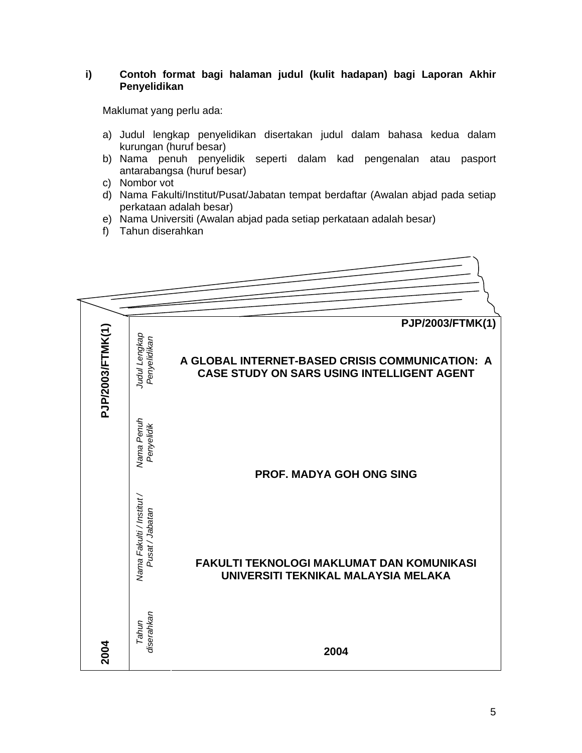### **i) Contoh format bagi halaman judul (kulit hadapan) bagi Laporan Akhir Penyelidikan**

Maklumat yang perlu ada:

- a) Judul lengkap penyelidikan disertakan judul dalam bahasa kedua dalam kurungan (huruf besar)
- b) Nama penuh penyelidik seperti dalam kad pengenalan atau pasport antarabangsa (huruf besar)
- c) Nombor vot
- d) Nama Fakulti/Institut/Pusat/Jabatan tempat berdaftar (Awalan abjad pada setiap perkataan adalah besar)
- e) Nama Universiti (Awalan abjad pada setiap perkataan adalah besar)
- f) Tahun diserahkan